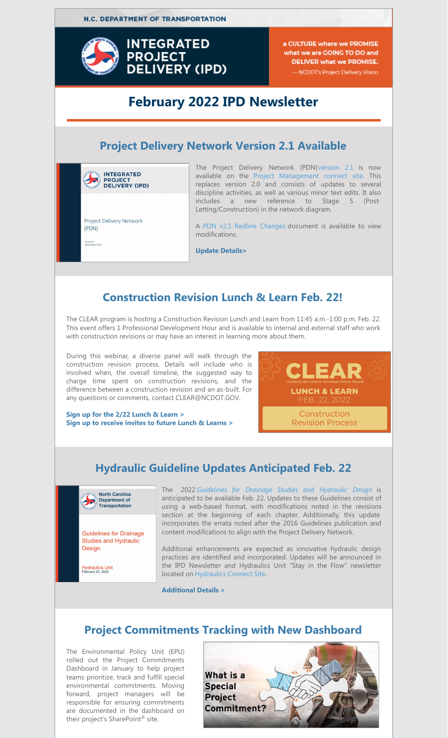**N.C. DEPARTMENT OF TRANSPORTATION** 



a CULTURE where we PROMISE what we are GOING TO DO and **DELIVER what we PROMISE.** - NCDOT's Project Delivery Vision

## **February 2022 IPD Newsletter**

## **Project Delivery Network Version 2.1 Available**



The Project Delivery Network (PDN[\)version](https://connect.ncdot.gov/projects/Project-Management/Documents/NCDOT_ProjectDeliveryNetwork.pdf) 2.1 is now available on the Project [Management](https://connect.ncdot.gov/projects/Project-Management/Pages/default.aspx?showTab=toolstemplates) connect site. This replaces version 2.0 and consists of updates to several discipline activities, as well as various minor text edits. It also includes a new reference to Stage 5 (Post-Letting/Construction) in the network diagram.

A PDN v2.1 Redline [Changes](https://connect.ncdot.gov/projects/Project-Management/Documents/NCDOT_ProjectDeliveryNetwork_Version 2.1_Redline Changes.pdf) document is available to view modifications.

**[Update](https://connect.ncdot.gov/projects/Integrated-Project-Delivery/Newsletters/2022_February_IPD_Articles.pdf#PDN) Detail[s>](https://connect.ncdot.gov/projects/Integrated-Project-Delivery/Newsletters/2021-November-IPD-Articles_v1.pdf#PM_Guide)**

## **Construction Revision Lunch & Learn Feb. 22!**

The CLEAR program is hosting a Construction Revision Lunch and Learn from 11:45 a.m.-1:00 p.m. Feb. 22. This event offers 1 Professional Development Hour and is available to internal and external staff who work with construction revisions or may have an interest in learning more about them.

During this webinar, a diverse panel will walk through the construction revision process. Details will include who is involved when, the overall timeline, the suggested way to charge time spent on construction revisions, and the difference between a construction revision and an as-built. For any questions or comments, contact CLEAR@NCDOT.GOV.

LEA **LUNCH & LEARN** Construction **Revision Process** 

**Sign up for the 2/22 [Lunch](https://forms.office.com/g/G2qgt9QGT2) & Learn > Sign up to [receive](https://forms.office.com/g/mCLxYtNifR) invites to future Lunch & Learns >**

## **Hydraulic Guideline Updates Anticipated Feb. 22**



**Guidelines for Drainage Studies and Hydraulic** Design

Hydraulics Unit<br>February 22, 2022

The 2022 *[Guidelines](https://connect.ncdot.gov/resources/hydro/Pages/DrainageStudiesGuidelines.aspx) for Drainage Studies and Hydraulic Desig[n](https://connect.ncdot.gov/resources/hydro/Pages/DrainageStudiesGuidelines.aspx)* is anticipated to be available Feb. 22. Updates to these Guidelines consist of using a web-based format, with modifications noted in the revisions section at the beginning of each chapter. Additionally, this update incorporates the errata noted after the 2016 Guidelines publication and content modifications to align with the Project Delivery Network.

Additional enhancements are expected as innovative hydraulic design practices are identified and incorporated. Updates will be announced in the IPD Newsletter and Hydraulics Unit "Stay in the Flow" newsletter located on [Hydraulics](https://connect.ncdot.gov/resources/hydro/Pages/default.aspx) Connect Site.

**[Additional](https://connect.ncdot.gov/projects/Integrated-Project-Delivery/Newsletters/2022_February_IPD_Articles.pdf#Hydro) Details >**

### **Project Commitments Tracking with New Dashboard**

The Environmental Policy Unit (EPU) rolled out the Project Commitments Dashboard in January to help project teams prioritize, track and fulfill special environmental commitments. Moving forward, project managers will be responsible for ensuring commitments are documented in the dashboard on their project's SharePoint ® site.

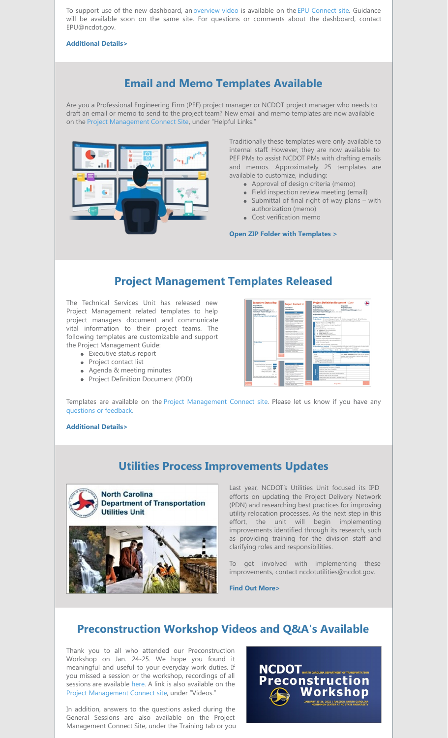To support use of the new dashboard, an [overview](https://connect.ncdot.gov/resources/Environmental/EPU/Policy/PublishingImages/Forms/Video/videoplayerpage.aspx?ID=1&FolderCTID=0x0120D520A8080083AE5E245C83D74E8107251D6F344D82&List=c84039c9-75eb-48e8-8c33-e65f9e05511a&RootFolder=%2Fresources%2FEnvironmental%2FEPU%2FPolicy%2FPublishingImages%2FProject Commitments%2FAdditional Content&RecSrc=%2Fresources%2FEnvironmental%2FEPU%2FPolicy%2FPublishingImages%2FProject Commitments) video is available on the EPU [Connect](https://connect.ncdot.gov/resources/Environmental/EPU/Policy/Pages/default.aspx) site. Guidance will be available soon on the same site. For questions or comments about the dashboard, contact EPU@ncdot.gov.

**[Additional](https://connect.ncdot.gov/projects/Integrated-Project-Delivery/Newsletters/2022_February_IPD_Articles.pdf#Commit) Details>**

## **Email and Memo Templates Available**

Are you a Professional Engineering Firm (PEF) project manager or NCDOT project manager who needs to draft an email or memo to send to the project team? New email and memo templates are now available on the Project [Management](https://connect.ncdot.gov/projects/Project-Management/Pages/default.aspx?showTab=toolstemplates) Connect Site, under "Helpful Links."



Traditionally these templates were only available to internal staff. However, they are now available to PEF PMs to assist NCDOT PMs with drafting emails and memos. Approximately 25 templates are available to customize, including:

- Approval of design criteria (memo)
- Field inspection review meeting (email)
- $\bullet$  Submittal of final right of way plans with authorization (memo)
- Cost verification memo

**Open ZIP Folder with [Templates](https://connect.ncdot.gov/projects/Project-Management/Documents/Project Communication Templates DEC 2021.zip) >**

### **Project Management Templates Released**

The Technical Services Unit has released new Project Management related templates to help project managers document and communicate vital information to their project teams. The following templates are customizable and support the Project Management Guide:

- Executive status report
- Project contact list
- Agenda & meeting minutes
- Project Definition Document (PDD)



Templates are available on the Project [Management](https://connect.ncdot.gov/projects/Project-Management/Pages/default.aspx?showTab=toolstemplates) Connect site. Please let us know if you have any [questions](https://connect.ncdot.gov/projects/Integrated-Project-Delivery/Pages/PDNComment.aspx) or feedbac[k.](https://connect.ncdot.gov/projects/Integrated-Project-Delivery/Pages/PDNComment.aspx)

#### **[Additional](https://connect.ncdot.gov/projects/Integrated-Project-Delivery/Newsletters/2022_February_IPD_Articles.pdf#PM) Details>**

### **Utilities Process Improvements Updates**



Last year, NCDOT's Utilities Unit focused its IPD efforts on updating the Project Delivery Network (PDN) and researching best practices for improving utility relocation processes. As the next step in this effort, the unit will begin implementing improvements identified through its research, such as providing training for the division staff and clarifying roles and responsibilities.

To get involved with implementing these improvements, contact ncdotutilities@ncdot.gov.

**Find Out [More>](https://connect.ncdot.gov/projects/Integrated-Project-Delivery/Newsletters/2022_February_IPD_Articles.pdf#Utility)**

### **Preconstruction Workshop Videos and Q&A's Available**

Thank you to all who attended our Preconstruction Workshop on Jan. 24-25. We hope you found it meaningful and useful to your everyday work duties. If you missed a session or the workshop, recordings of all sessions are available [here](https://connect.ncdot.gov/projects/Project-Management/PublishingImages/2022 Preconstruction Workshop Session Videos.aspx). A link is also available on the Project [Management](https://connect.ncdot.gov/projects/Project-Management/Pages/default.aspx?showTab=toolstemplates.) Connect site, under "Videos."

In addition, answers to the questions asked during the General Sessions are also available on the Project Management Connect Site, under the Training tab or you